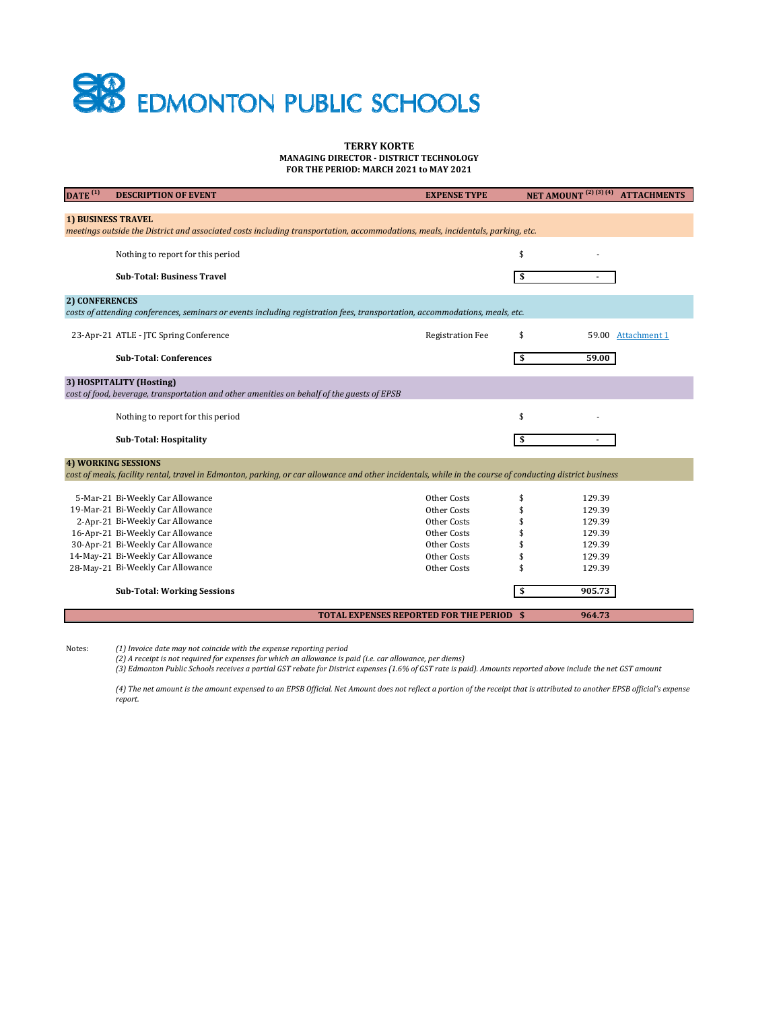## **SHO** EDMONTON PUBLIC SCHOOLS

## **TERRY KORTE MANAGING DIRECTOR ‐ DISTRICT TECHNOLOGY FOR THE PERIOD: MARCH 2021 to MAY 2021**

| DATE <sup>(1)</sup>                                                                                                                                         | <b>DESCRIPTION OF EVENT</b>                                                                | <b>EXPENSE TYPE</b>                              | NET AMOUNT <sup>(2)(3)(4)</sup> ATTACHMENTS |  |  |  |  |
|-------------------------------------------------------------------------------------------------------------------------------------------------------------|--------------------------------------------------------------------------------------------|--------------------------------------------------|---------------------------------------------|--|--|--|--|
|                                                                                                                                                             |                                                                                            |                                                  |                                             |  |  |  |  |
| <b>1) BUSINESS TRAVEL</b><br>meetings outside the District and associated costs including transportation, accommodations, meals, incidentals, parking, etc. |                                                                                            |                                                  |                                             |  |  |  |  |
|                                                                                                                                                             |                                                                                            |                                                  |                                             |  |  |  |  |
|                                                                                                                                                             | Nothing to report for this period                                                          |                                                  | \$                                          |  |  |  |  |
|                                                                                                                                                             |                                                                                            |                                                  |                                             |  |  |  |  |
|                                                                                                                                                             | <b>Sub-Total: Business Travel</b>                                                          |                                                  | \$                                          |  |  |  |  |
| <b>2) CONFERENCES</b>                                                                                                                                       |                                                                                            |                                                  |                                             |  |  |  |  |
| costs of attending conferences, seminars or events including registration fees, transportation, accommodations, meals, etc.                                 |                                                                                            |                                                  |                                             |  |  |  |  |
|                                                                                                                                                             | 23-Apr-21 ATLE - JTC Spring Conference                                                     | <b>Registration Fee</b>                          | \$<br>59.00 Attachment 1                    |  |  |  |  |
|                                                                                                                                                             |                                                                                            |                                                  |                                             |  |  |  |  |
|                                                                                                                                                             | <b>Sub-Total: Conferences</b>                                                              |                                                  | \$<br>59.00                                 |  |  |  |  |
|                                                                                                                                                             | 3) HOSPITALITY (Hosting)                                                                   |                                                  |                                             |  |  |  |  |
|                                                                                                                                                             | cost of food, beverage, transportation and other amenities on behalf of the guests of EPSB |                                                  |                                             |  |  |  |  |
|                                                                                                                                                             |                                                                                            |                                                  |                                             |  |  |  |  |
|                                                                                                                                                             | Nothing to report for this period                                                          |                                                  | \$                                          |  |  |  |  |
|                                                                                                                                                             | <b>Sub-Total: Hospitality</b>                                                              |                                                  | \$                                          |  |  |  |  |
|                                                                                                                                                             |                                                                                            |                                                  |                                             |  |  |  |  |
|                                                                                                                                                             | <b>4) WORKING SESSIONS</b>                                                                 |                                                  |                                             |  |  |  |  |
| cost of meals, facility rental, travel in Edmonton, parking, or car allowance and other incidentals, while in the course of conducting district business    |                                                                                            |                                                  |                                             |  |  |  |  |
|                                                                                                                                                             | 5-Mar-21 Bi-Weekly Car Allowance                                                           | Other Costs                                      | \$<br>129.39                                |  |  |  |  |
|                                                                                                                                                             | 19-Mar-21 Bi-Weekly Car Allowance                                                          | Other Costs                                      | 129.39                                      |  |  |  |  |
|                                                                                                                                                             | 2-Apr-21 Bi-Weekly Car Allowance                                                           | Other Costs                                      | 129.39                                      |  |  |  |  |
|                                                                                                                                                             | 16-Apr-21 Bi-Weekly Car Allowance                                                          | Other Costs                                      | 129.39                                      |  |  |  |  |
|                                                                                                                                                             | 30-Apr-21 Bi-Weekly Car Allowance                                                          | Other Costs                                      | 129.39                                      |  |  |  |  |
|                                                                                                                                                             | 14-May-21 Bi-Weekly Car Allowance                                                          | Other Costs                                      | 129.39                                      |  |  |  |  |
|                                                                                                                                                             | 28-May-21 Bi-Weekly Car Allowance                                                          | Other Costs                                      | 129.39                                      |  |  |  |  |
|                                                                                                                                                             |                                                                                            |                                                  | 905.73                                      |  |  |  |  |
|                                                                                                                                                             | <b>Sub-Total: Working Sessions</b>                                                         |                                                  | \$                                          |  |  |  |  |
|                                                                                                                                                             |                                                                                            | <b>TOTAL EXPENSES REPORTED FOR THE PERIOD \$</b> | 964.73                                      |  |  |  |  |
|                                                                                                                                                             |                                                                                            |                                                  |                                             |  |  |  |  |

Notes:

(1) Invoice date may not coincide with the expense reporting period<br>(2) A receipt is not required for expenses for which an allowance is paid (i.e. car allowance, per diems)

(3) Edmonton Public Schools receives a partial GST rebate for District expenses (1.6% of GST rate is paid). Amounts reported above include the net GST amount

(4) The net amount is the amount expensed to an EPSB Official. Net Amount does not reflect a portion of the receipt that is attributed to another EPSB official's expense *report.*